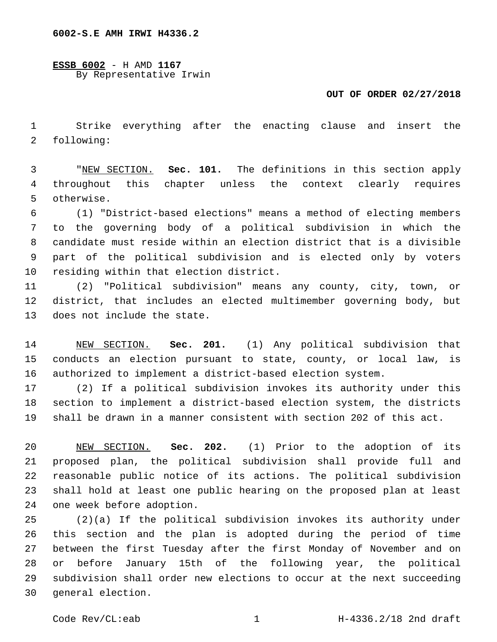**ESSB 6002** - H AMD **1167** By Representative Irwin

## **OUT OF ORDER 02/27/2018**

 Strike everything after the enacting clause and insert the 2 following:

 "NEW SECTION. **Sec. 101.** The definitions in this section apply throughout this chapter unless the context clearly requires otherwise.

 (1) "District-based elections" means a method of electing members to the governing body of a political subdivision in which the candidate must reside within an election district that is a divisible part of the political subdivision and is elected only by voters 10 residing within that election district.

 (2) "Political subdivision" means any county, city, town, or district, that includes an elected multimember governing body, but 13 does not include the state.

 NEW SECTION. **Sec. 201.** (1) Any political subdivision that conducts an election pursuant to state, county, or local law, is authorized to implement a district-based election system.

 (2) If a political subdivision invokes its authority under this section to implement a district-based election system, the districts shall be drawn in a manner consistent with section 202 of this act.

 NEW SECTION. **Sec. 202.** (1) Prior to the adoption of its proposed plan, the political subdivision shall provide full and reasonable public notice of its actions. The political subdivision shall hold at least one public hearing on the proposed plan at least one week before adoption.

 (2)(a) If the political subdivision invokes its authority under this section and the plan is adopted during the period of time between the first Tuesday after the first Monday of November and on or before January 15th of the following year, the political subdivision shall order new elections to occur at the next succeeding 30 general election.

Code Rev/CL:eab 1 H-4336.2/18 2nd draft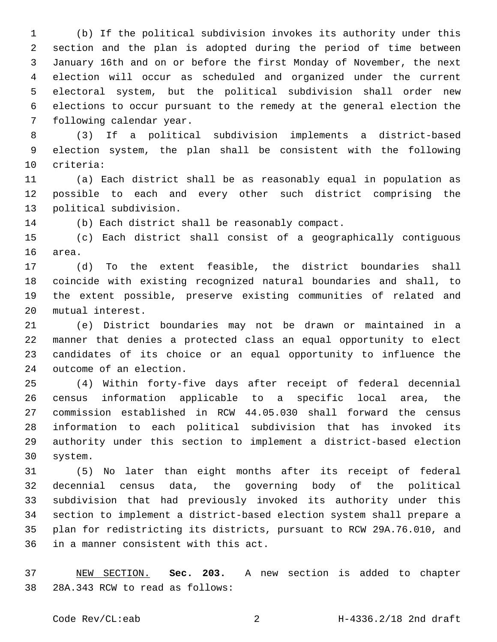(b) If the political subdivision invokes its authority under this section and the plan is adopted during the period of time between January 16th and on or before the first Monday of November, the next election will occur as scheduled and organized under the current electoral system, but the political subdivision shall order new elections to occur pursuant to the remedy at the general election the 7 following calendar year.

 (3) If a political subdivision implements a district-based election system, the plan shall be consistent with the following 10 criteria:

 (a) Each district shall be as reasonably equal in population as possible to each and every other such district comprising the 13 political subdivision.

(b) Each district shall be reasonably compact.

 (c) Each district shall consist of a geographically contiguous 16 area.

 (d) To the extent feasible, the district boundaries shall coincide with existing recognized natural boundaries and shall, to the extent possible, preserve existing communities of related and 20 mutual interest.

 (e) District boundaries may not be drawn or maintained in a manner that denies a protected class an equal opportunity to elect candidates of its choice or an equal opportunity to influence the 24 outcome of an election.

 (4) Within forty-five days after receipt of federal decennial census information applicable to a specific local area, the commission established in RCW 44.05.030 shall forward the census information to each political subdivision that has invoked its authority under this section to implement a district-based election system.30

 (5) No later than eight months after its receipt of federal decennial census data, the governing body of the political subdivision that had previously invoked its authority under this section to implement a district-based election system shall prepare a plan for redistricting its districts, pursuant to RCW 29A.76.010, and 36 in a manner consistent with this act.

 NEW SECTION. **Sec. 203.** A new section is added to chapter 38 28A.343 RCW to read as follows: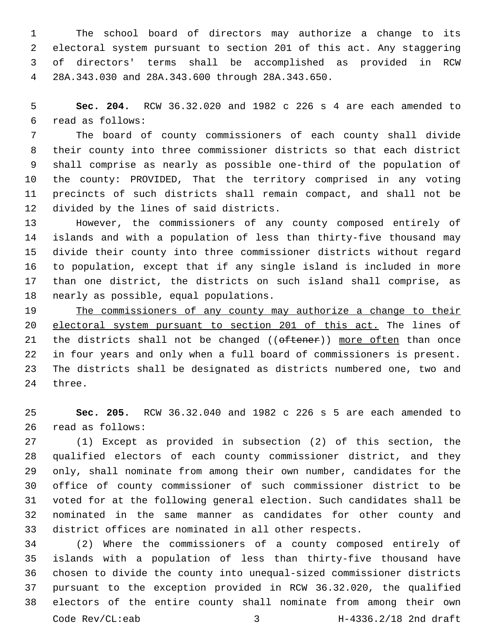The school board of directors may authorize a change to its electoral system pursuant to section 201 of this act. Any staggering of directors' terms shall be accomplished as provided in RCW 28A.343.030 and 28A.343.600 through 28A.343.650.4

 **Sec. 204.** RCW 36.32.020 and 1982 c 226 s 4 are each amended to read as follows:6

 The board of county commissioners of each county shall divide their county into three commissioner districts so that each district shall comprise as nearly as possible one-third of the population of the county: PROVIDED, That the territory comprised in any voting precincts of such districts shall remain compact, and shall not be 12 divided by the lines of said districts.

 However, the commissioners of any county composed entirely of islands and with a population of less than thirty-five thousand may divide their county into three commissioner districts without regard to population, except that if any single island is included in more than one district, the districts on such island shall comprise, as 18 nearly as possible, equal populations.

 The commissioners of any county may authorize a change to their electoral system pursuant to section 201 of this act. The lines of 21 the districts shall not be changed  $((\text{otherwise}))$  more often than once in four years and only when a full board of commissioners is present. The districts shall be designated as districts numbered one, two and 24 three.

 **Sec. 205.** RCW 36.32.040 and 1982 c 226 s 5 are each amended to 26 read as follows:

 (1) Except as provided in subsection (2) of this section, the qualified electors of each county commissioner district, and they only, shall nominate from among their own number, candidates for the office of county commissioner of such commissioner district to be voted for at the following general election. Such candidates shall be nominated in the same manner as candidates for other county and district offices are nominated in all other respects.

 (2) Where the commissioners of a county composed entirely of islands with a population of less than thirty-five thousand have chosen to divide the county into unequal-sized commissioner districts pursuant to the exception provided in RCW 36.32.020, the qualified electors of the entire county shall nominate from among their own Code Rev/CL:eab 3 H-4336.2/18 2nd draft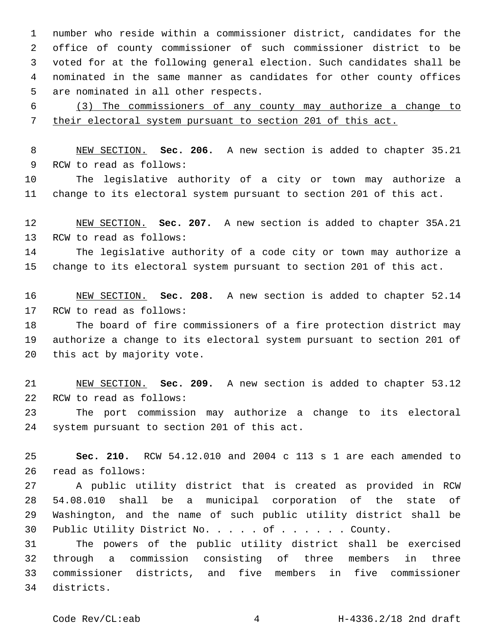number who reside within a commissioner district, candidates for the office of county commissioner of such commissioner district to be voted for at the following general election. Such candidates shall be nominated in the same manner as candidates for other county offices 5 are nominated in all other respects.

 (3) The commissioners of any county may authorize a change to their electoral system pursuant to section 201 of this act.

 NEW SECTION. **Sec. 206.** A new section is added to chapter 35.21 9 RCW to read as follows:

 The legislative authority of a city or town may authorize a change to its electoral system pursuant to section 201 of this act.

 NEW SECTION. **Sec. 207.** A new section is added to chapter 35A.21 13 RCW to read as follows:

 The legislative authority of a code city or town may authorize a change to its electoral system pursuant to section 201 of this act.

 NEW SECTION. **Sec. 208.** A new section is added to chapter 52.14 17 RCW to read as follows:

 The board of fire commissioners of a fire protection district may authorize a change to its electoral system pursuant to section 201 of 20 this act by majority vote.

 NEW SECTION. **Sec. 209.** A new section is added to chapter 53.12 22 RCW to read as follows:

 The port commission may authorize a change to its electoral 24 system pursuant to section 201 of this act.

 **Sec. 210.** RCW 54.12.010 and 2004 c 113 s 1 are each amended to read as follows:26

 A public utility district that is created as provided in RCW 54.08.010 shall be a municipal corporation of the state of Washington, and the name of such public utility district shall be Public Utility District No. . . . . of . . . . . . County.

 The powers of the public utility district shall be exercised through a commission consisting of three members in three commissioner districts, and five members in five commissioner districts.34

Code Rev/CL:eab H-4336.2/18 2nd draft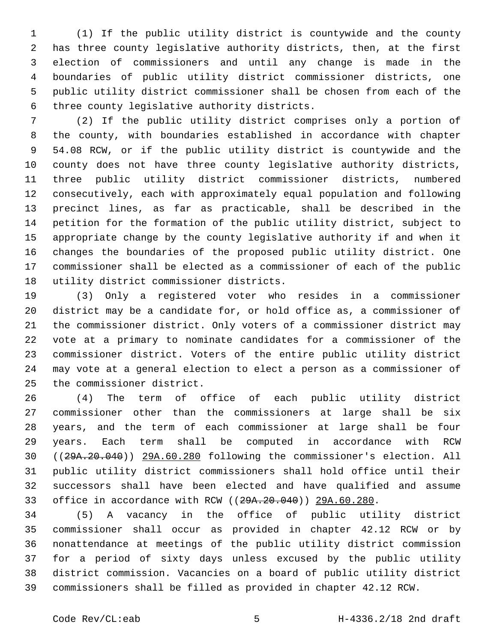(1) If the public utility district is countywide and the county has three county legislative authority districts, then, at the first election of commissioners and until any change is made in the boundaries of public utility district commissioner districts, one public utility district commissioner shall be chosen from each of the 6 three county legislative authority districts.

 (2) If the public utility district comprises only a portion of the county, with boundaries established in accordance with chapter 54.08 RCW, or if the public utility district is countywide and the county does not have three county legislative authority districts, three public utility district commissioner districts, numbered consecutively, each with approximately equal population and following precinct lines, as far as practicable, shall be described in the petition for the formation of the public utility district, subject to appropriate change by the county legislative authority if and when it changes the boundaries of the proposed public utility district. One commissioner shall be elected as a commissioner of each of the public 18 utility district commissioner districts.

 (3) Only a registered voter who resides in a commissioner district may be a candidate for, or hold office as, a commissioner of the commissioner district. Only voters of a commissioner district may vote at a primary to nominate candidates for a commissioner of the commissioner district. Voters of the entire public utility district may vote at a general election to elect a person as a commissioner of 25 the commissioner district.

 (4) The term of office of each public utility district commissioner other than the commissioners at large shall be six years, and the term of each commissioner at large shall be four years. Each term shall be computed in accordance with RCW ((29A.20.040)) 29A.60.280 following the commissioner's election. All public utility district commissioners shall hold office until their successors shall have been elected and have qualified and assume office in accordance with RCW ((29A.20.040)) 29A.60.280.

 (5) A vacancy in the office of public utility district commissioner shall occur as provided in chapter 42.12 RCW or by nonattendance at meetings of the public utility district commission for a period of sixty days unless excused by the public utility district commission. Vacancies on a board of public utility district commissioners shall be filled as provided in chapter 42.12 RCW.

Code Rev/CL:eab 5 H-4336.2/18 2nd draft